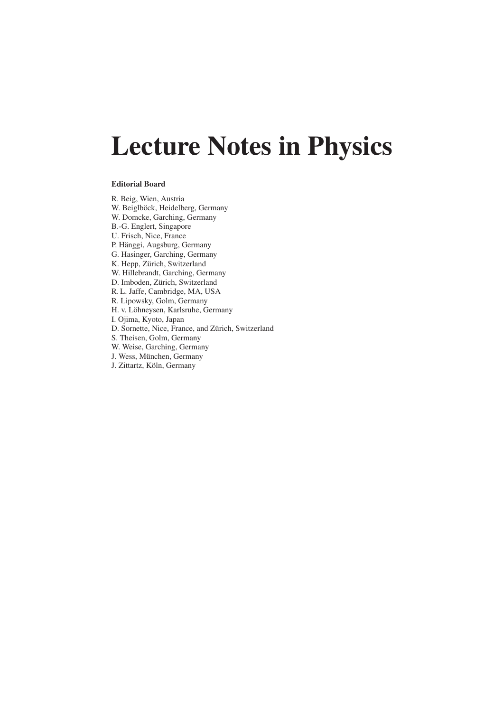## **Lecture Notes in Physics**

## **Editorial Board**

R. Beig, Wien, Austria W. Beiglböck, Heidelberg, Germany W. Domcke, Garching, Germany B.-G. Englert, Singapore U. Frisch, Nice, France P. Hänggi, Augsburg, Germany G. Hasinger, Garching, Germany K. Hepp, Zürich, Switzerland W. Hillebrandt, Garching, Germany D. Imboden, Zürich, Switzerland R. L. Jaffe, Cambridge, MA, USA R. Lipowsky, Golm, Germany H. v. Löhneysen, Karlsruhe, Germany I. Ojima, Kyoto, Japan D. Sornette, Nice, France, and Zürich, Switzerland S. Theisen, Golm, Germany W. Weise, Garching, Germany J. Wess, München, Germany J. Zittartz, Köln, Germany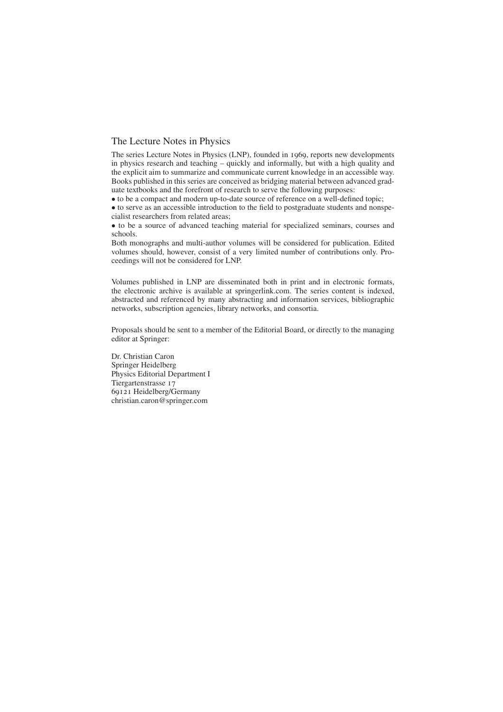## The Lecture Notes in Physics

The series Lecture Notes in Physics (LNP), founded in 1969, reports new developments in physics research and teaching – quickly and informally, but with a high quality and the explicit aim to summarize and communicate current knowledge in an accessible way. Books published in this series are conceived as bridging material between advanced graduate textbooks and the forefront of research to serve the following purposes:

• to be a compact and modern up-to-date source of reference on a well-defined topic;

• to serve as an accessible introduction to the field to postgraduate students and nonspecialist researchers from related areas;

• to be a source of advanced teaching material for specialized seminars, courses and schools.

Both monographs and multi-author volumes will be considered for publication. Edited volumes should, however, consist of a very limited number of contributions only. Proceedings will not be considered for LNP.

Volumes published in LNP are disseminated both in print and in electronic formats, the electronic archive is available at springerlink.com. The series content is indexed, abstracted and referenced by many abstracting and information services, bibliographic networks, subscription agencies, library networks, and consortia.

Proposals should be sent to a member of the Editorial Board, or directly to the managing editor at Springer:

Dr. Christian Caron Springer Heidelberg Physics Editorial Department I Tiergartenstrasse 17 69121 Heidelberg/Germany christian.caron@springer.com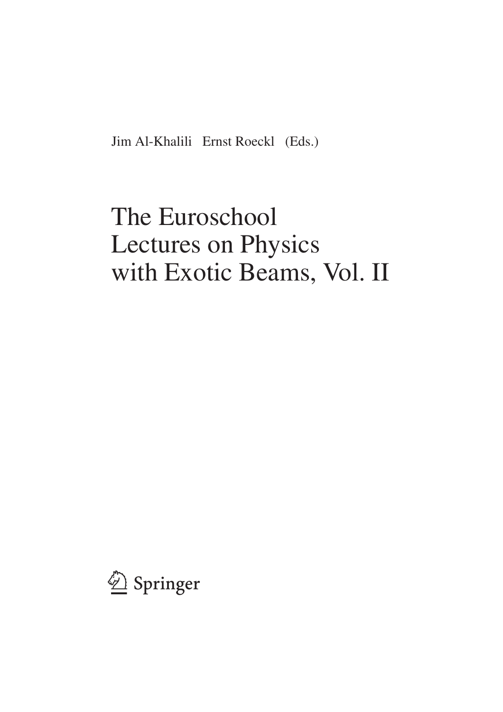Jim Al-Khalili Ernst Roeckl (Eds.)

# The Euroschool Lectures on Physics with Exotic Beams, Vol. II

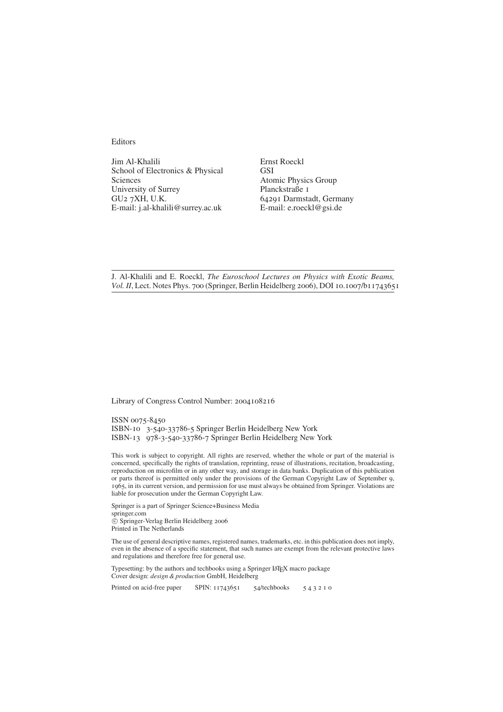Editors

Jim Al-Khalili School of Electronics & Physical Sciences University of Surrey GU2 7XH, U.K. E-mail: j.al-khalili@surrey.ac.uk

Ernst Roeckl **GSI** Atomic Physics Group Planckstraße 1 64291 Darmstadt, Germany E-mail: e.roeckl@gsi.de

J. Al-Khalili and E. Roeckl, *The Euroschool Lectures on Physics with Exotic Beams, Vol. II*, Lect. Notes Phys. 700 (Springer, Berlin Heidelberg 2006), DOI 10.1007/b11743651

Library of Congress Control Number: 2004108216

ISSN 0075-8450 ISBN-10 3-540-33786-5 Springer Berlin Heidelberg New York ISBN-13 978-3-540-33786-7 Springer Berlin Heidelberg New York

This work is subject to copyright. All rights are reserved, whether the whole or part of the material is concerned, specifically the rights of translation, reprinting, reuse of illustrations, recitation, broadcasting, reproduction on microfilm or in any other way, and storage in data banks. Duplication of this publication or parts thereof is permitted only under the provisions of the German Copyright Law of September 9, 1965, in its current version, and permission for use must always be obtained from Springer. Violations are liable for prosecution under the German Copyright Law.

Springer is a part of Springer Science+Business Media springer.com c Springer-Verlag Berlin Heidelberg 2006 Printed in The Netherlands

The use of general descriptive names, registered names, trademarks, etc. in this publication does not imply, even in the absence of a specific statement, that such names are exempt from the relevant protective laws and regulations and therefore free for general use.

Typesetting: by the authors and techbooks using a Springer LATEX macro package Cover design: *design & production* GmbH, Heidelberg

Printed on acid-free paper SPIN: 11743651 54/techbooks 543210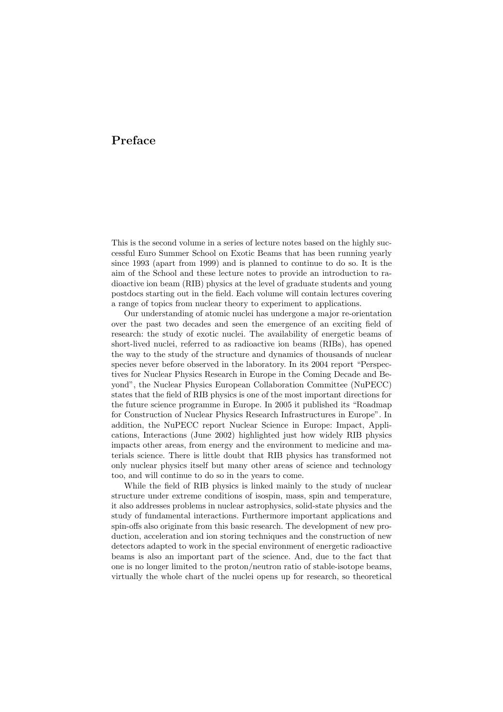## **Preface**

This is the second volume in a series of lecture notes based on the highly successful Euro Summer School on Exotic Beams that has been running yearly since 1993 (apart from 1999) and is planned to continue to do so. It is the aim of the School and these lecture notes to provide an introduction to radioactive ion beam (RIB) physics at the level of graduate students and young postdocs starting out in the field. Each volume will contain lectures covering a range of topics from nuclear theory to experiment to applications.

Our understanding of atomic nuclei has undergone a major re-orientation over the past two decades and seen the emergence of an exciting field of research: the study of exotic nuclei. The availability of energetic beams of short-lived nuclei, referred to as radioactive ion beams (RIBs), has opened the way to the study of the structure and dynamics of thousands of nuclear species never before observed in the laboratory. In its 2004 report "Perspectives for Nuclear Physics Research in Europe in the Coming Decade and Beyond", the Nuclear Physics European Collaboration Committee (NuPECC) states that the field of RIB physics is one of the most important directions for the future science programme in Europe. In 2005 it published its "Roadmap for Construction of Nuclear Physics Research Infrastructures in Europe". In addition, the NuPECC report Nuclear Science in Europe: Impact, Applications, Interactions (June 2002) highlighted just how widely RIB physics impacts other areas, from energy and the environment to medicine and materials science. There is little doubt that RIB physics has transformed not only nuclear physics itself but many other areas of science and technology too, and will continue to do so in the years to come.

While the field of RIB physics is linked mainly to the study of nuclear structure under extreme conditions of isospin, mass, spin and temperature, it also addresses problems in nuclear astrophysics, solid-state physics and the study of fundamental interactions. Furthermore important applications and spin-offs also originate from this basic research. The development of new production, acceleration and ion storing techniques and the construction of new detectors adapted to work in the special environment of energetic radioactive beams is also an important part of the science. And, due to the fact that one is no longer limited to the proton/neutron ratio of stable-isotope beams, virtually the whole chart of the nuclei opens up for research, so theoretical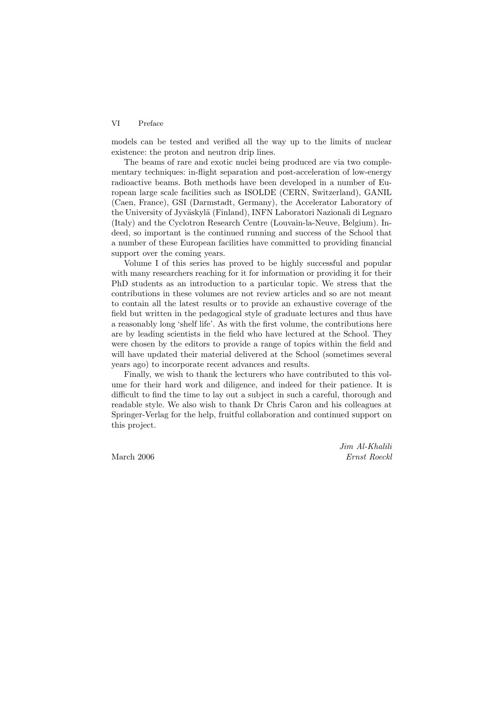#### VI Preface

models can be tested and verified all the way up to the limits of nuclear existence: the proton and neutron drip lines.

The beams of rare and exotic nuclei being produced are via two complementary techniques: in-flight separation and post-acceleration of low-energy radioactive beams. Both methods have been developed in a number of European large scale facilities such as ISOLDE (CERN, Switzerland), GANIL (Caen, France), GSI (Darmstadt, Germany), the Accelerator Laboratory of the University of Jyväskylä (Finland), INFN Laboratori Nazionali di Legnaro (Italy) and the Cyclotron Research Centre (Louvain-la-Neuve, Belgium). Indeed, so important is the continued running and success of the School that a number of these European facilities have committed to providing financial support over the coming years.

Volume I of this series has proved to be highly successful and popular with many researchers reaching for it for information or providing it for their PhD students as an introduction to a particular topic. We stress that the contributions in these volumes are not review articles and so are not meant to contain all the latest results or to provide an exhaustive coverage of the field but written in the pedagogical style of graduate lectures and thus have a reasonably long 'shelf life'. As with the first volume, the contributions here are by leading scientists in the field who have lectured at the School. They were chosen by the editors to provide a range of topics within the field and will have updated their material delivered at the School (sometimes several years ago) to incorporate recent advances and results.

Finally, we wish to thank the lecturers who have contributed to this volume for their hard work and diligence, and indeed for their patience. It is difficult to find the time to lay out a subject in such a careful, thorough and readable style. We also wish to thank Dr Chris Caron and his colleagues at Springer-Verlag for the help, fruitful collaboration and continued support on this project.

Jim Al-Khalili March 2006 Ernst Roeckl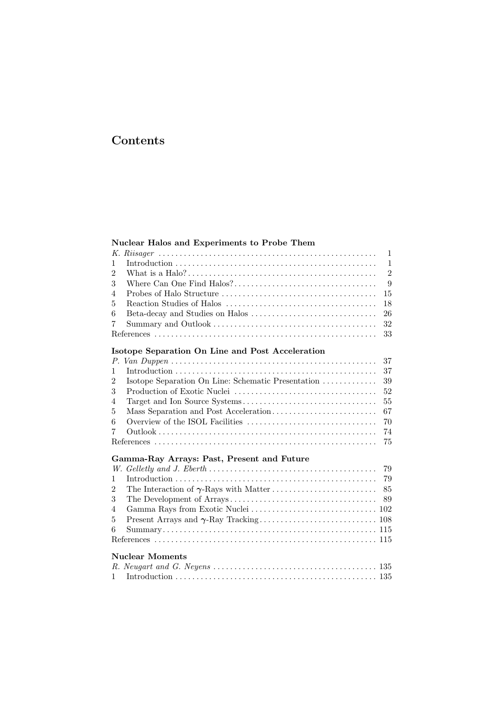## **Contents**

|                | Nuclear Halos and Experiments to Probe Them        |                |
|----------------|----------------------------------------------------|----------------|
|                |                                                    | $\mathbf{1}$   |
| 1              |                                                    | $\mathbf{1}$   |
| $\overline{2}$ |                                                    | $\overline{2}$ |
| 3              |                                                    | 9              |
| 4              |                                                    | 15             |
| 5              |                                                    | 18             |
| 6              |                                                    | 26             |
| 7              |                                                    | 32             |
|                |                                                    | 33             |
|                | Isotope Separation On Line and Post Acceleration   |                |
|                |                                                    | 37             |
| 1              |                                                    | 37             |
| $\overline{2}$ | Isotope Separation On Line: Schematic Presentation | 39             |
| 3              |                                                    | 52             |
| 4              |                                                    | 55             |
| 5              |                                                    | 67             |
| 6              |                                                    | 70             |
| 7              |                                                    | 74             |
|                |                                                    | 75             |
|                | Gamma-Ray Arrays: Past, Present and Future         |                |
|                |                                                    | 79             |
| 1              |                                                    | 79             |
| $\overline{2}$ |                                                    | 85             |
| 3              |                                                    | 89             |
| 4              |                                                    |                |
| 5              |                                                    |                |
| 6              |                                                    |                |
|                |                                                    |                |
|                | <b>Nuclear Moments</b>                             |                |
|                |                                                    |                |
| $\mathbf{1}$   |                                                    |                |
|                |                                                    |                |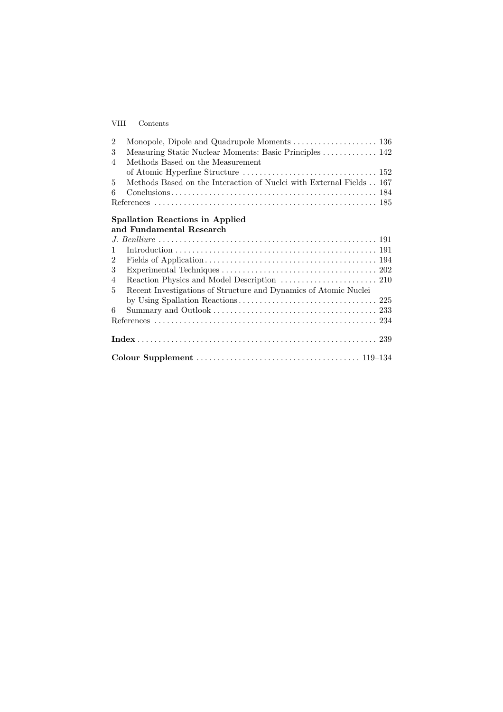## VIII Contents

| Monopole, Dipole and Quadrupole Moments  136                        |  |  |
|---------------------------------------------------------------------|--|--|
| Measuring Static Nuclear Moments: Basic Principles  142             |  |  |
| Methods Based on the Measurement                                    |  |  |
|                                                                     |  |  |
| Methods Based on the Interaction of Nuclei with External Fields 167 |  |  |
|                                                                     |  |  |
|                                                                     |  |  |
|                                                                     |  |  |
| <b>Spallation Reactions in Applied</b>                              |  |  |
| and Fundamental Research                                            |  |  |
|                                                                     |  |  |
|                                                                     |  |  |
|                                                                     |  |  |
|                                                                     |  |  |
|                                                                     |  |  |
| Recent Investigations of Structure and Dynamics of Atomic Nuclei    |  |  |
|                                                                     |  |  |
|                                                                     |  |  |
|                                                                     |  |  |
|                                                                     |  |  |
|                                                                     |  |  |
|                                                                     |  |  |
|                                                                     |  |  |